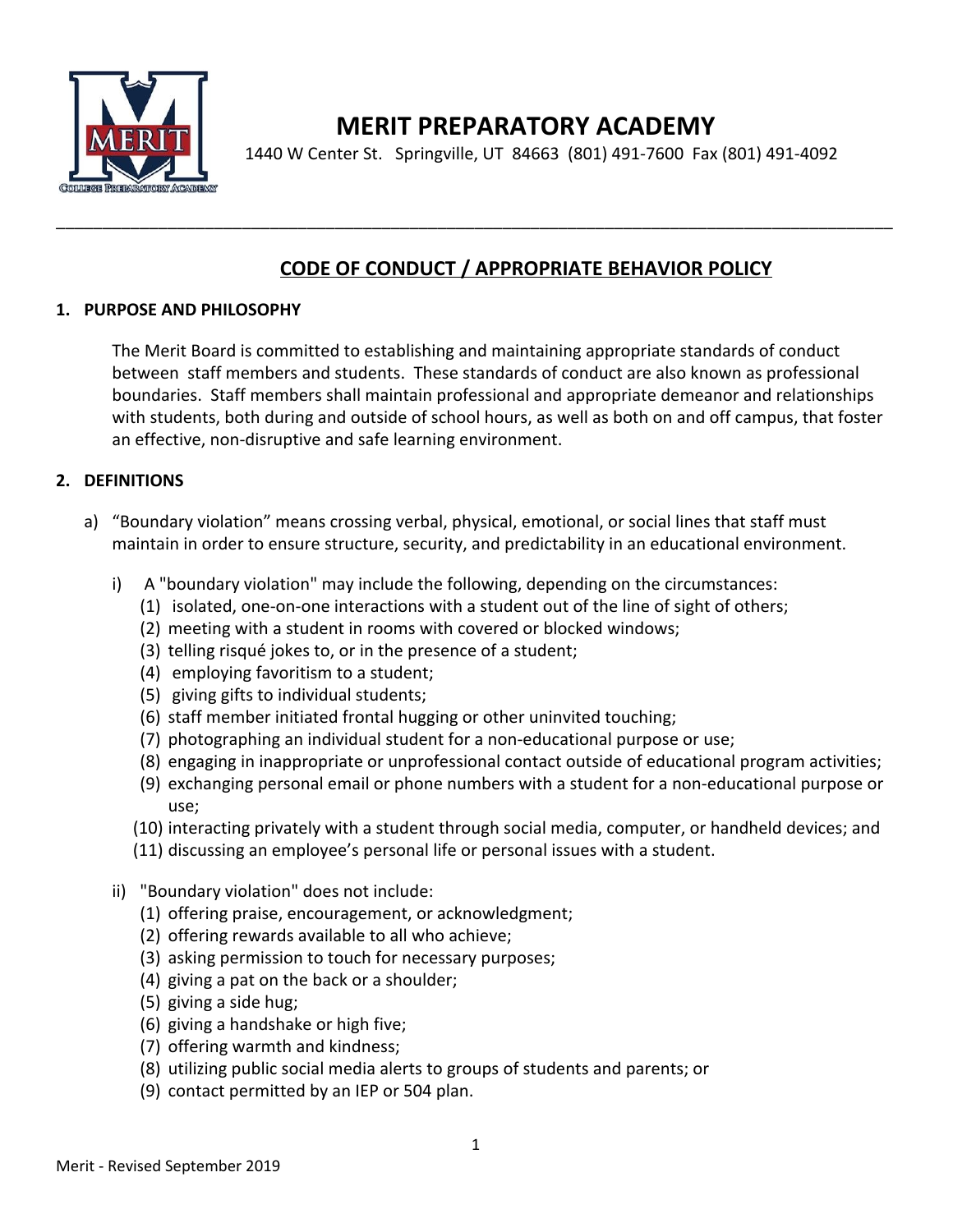

# **MERIT PREPARATORY ACADEMY**

1440 W Center St. Springville, UT 84663 (801) 491-7600 Fax (801) 491-4092

### **CODE OF CONDUCT / APPROPRIATE BEHAVIOR POLICY**

#### **1. PURPOSE AND PHILOSOPHY**

The Merit Board is committed to establishing and maintaining appropriate standards of conduct between staff members and students. These standards of conduct are also known as professional boundaries. Staff members shall maintain professional and appropriate demeanor and relationships with students, both during and outside of school hours, as well as both on and off campus, that foster an effective, non-disruptive and safe learning environment.

\_\_\_\_\_\_\_\_\_\_\_\_\_\_\_\_\_\_\_\_\_\_\_\_\_\_\_\_\_\_\_\_\_\_\_\_\_\_\_\_\_\_\_\_\_\_\_\_\_\_\_\_\_\_\_\_\_\_\_\_\_\_\_\_\_\_\_\_\_\_\_\_\_\_\_\_\_\_\_\_\_\_\_\_\_\_\_\_\_\_

#### **2. DEFINITIONS**

- a) "Boundary violation" means crossing verbal, physical, emotional, or social lines that staff must maintain in order to ensure structure, security, and predictability in an educational environment.
	- i) A "boundary violation" may include the following, depending on the circumstances:
		- (1) isolated, one-on-one interactions with a student out of the line of sight of others;
		- (2) meeting with a student in rooms with covered or blocked windows;
		- (3) telling risqué jokes to, or in the presence of a student;
		- (4) employing favoritism to a student;
		- (5) giving gifts to individual students;
		- (6) staff member initiated frontal hugging or other uninvited touching;
		- (7) photographing an individual student for a non-educational purpose or use;
		- (8) engaging in inappropriate or unprofessional contact outside of educational program activities;
		- (9) exchanging personal email or phone numbers with a student for a non-educational purpose or use;
		- (10) interacting privately with a student through social media, computer, or handheld devices; and
		- (11) discussing an employee's personal life or personal issues with a student.
	- ii) "Boundary violation" does not include:
		- (1) offering praise, encouragement, or acknowledgment;
		- (2) offering rewards available to all who achieve;
		- (3) asking permission to touch for necessary purposes;
		- (4) giving a pat on the back or a shoulder;
		- (5) giving a side hug;
		- (6) giving a handshake or high five;
		- (7) offering warmth and kindness;
		- (8) utilizing public social media alerts to groups of students and parents; or
		- (9) contact permitted by an IEP or 504 plan.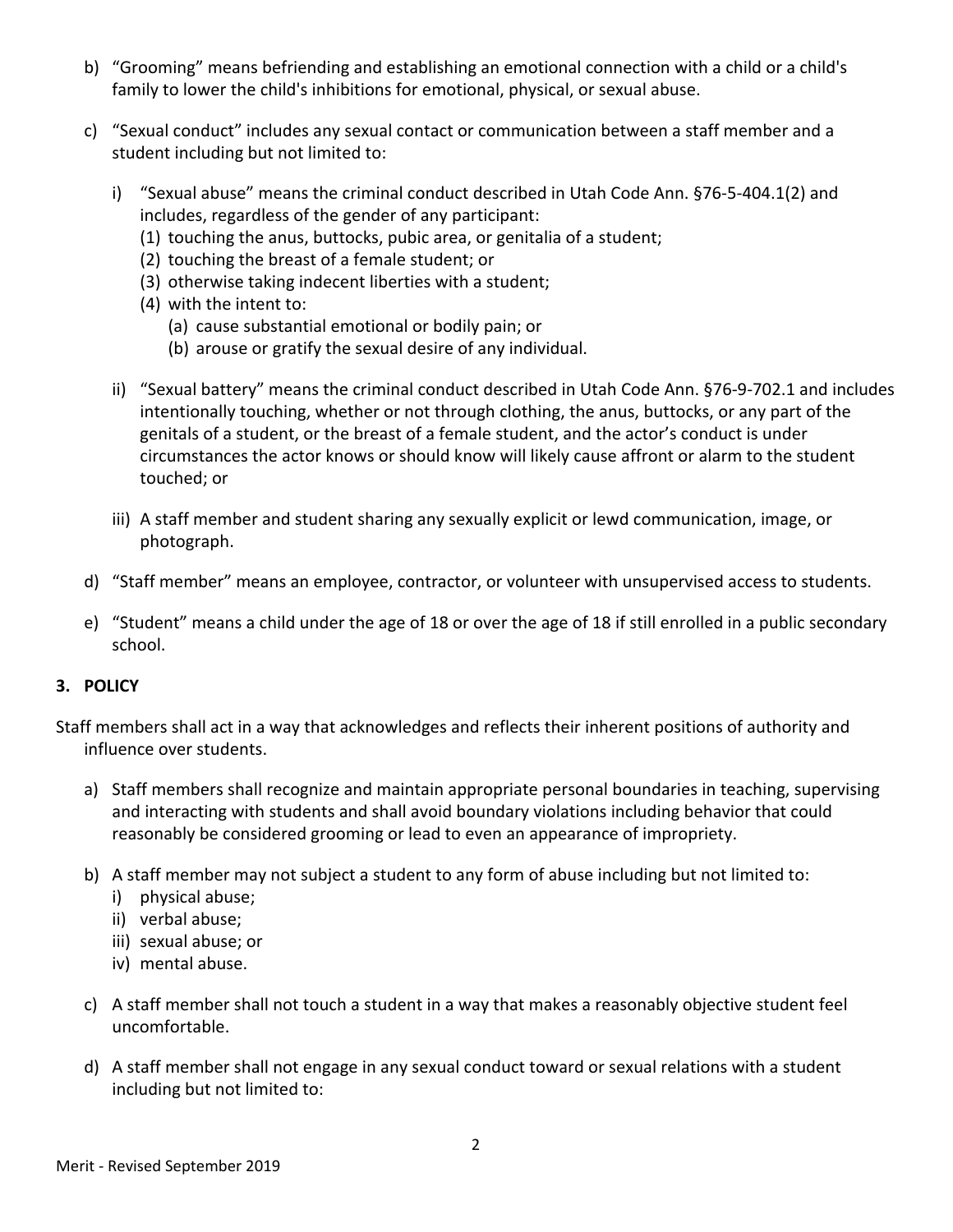- b) "Grooming" means befriending and establishing an emotional connection with a child or a child's family to lower the child's inhibitions for emotional, physical, or sexual abuse.
- c) "Sexual conduct" includes any sexual contact or communication between a staff member and a student including but not limited to:
	- i) "Sexual abuse" means the criminal conduct described in Utah Code Ann. §76-5-404.1(2) and includes, regardless of the gender of any participant:
		- (1) touching the anus, buttocks, pubic area, or genitalia of a student;
		- (2) touching the breast of a female student; or
		- (3) otherwise taking indecent liberties with a student;
		- (4) with the intent to:
			- (a) cause substantial emotional or bodily pain; or
			- (b) arouse or gratify the sexual desire of any individual.
	- ii) "Sexual battery" means the criminal conduct described in Utah Code Ann. §76-9-702.1 and includes intentionally touching, whether or not through clothing, the anus, buttocks, or any part of the genitals of a student, or the breast of a female student, and the actor's conduct is under circumstances the actor knows or should know will likely cause affront or alarm to the student touched; or
	- iii) A staff member and student sharing any sexually explicit or lewd communication, image, or photograph.
- d) "Staff member" means an employee, contractor, or volunteer with unsupervised access to students.
- e) "Student" means a child under the age of 18 or over the age of 18 if still enrolled in a public secondary school.

#### **3. POLICY**

Staff members shall act in a way that acknowledges and reflects their inherent positions of authority and influence over students.

- a) Staff members shall recognize and maintain appropriate personal boundaries in teaching, supervising and interacting with students and shall avoid boundary violations including behavior that could reasonably be considered grooming or lead to even an appearance of impropriety.
- b) A staff member may not subject a student to any form of abuse including but not limited to:
	- i) physical abuse;
	- ii) verbal abuse;
	- iii) sexual abuse; or
	- iv) mental abuse.
- c) A staff member shall not touch a student in a way that makes a reasonably objective student feel uncomfortable.
- d) A staff member shall not engage in any sexual conduct toward or sexual relations with a student including but not limited to: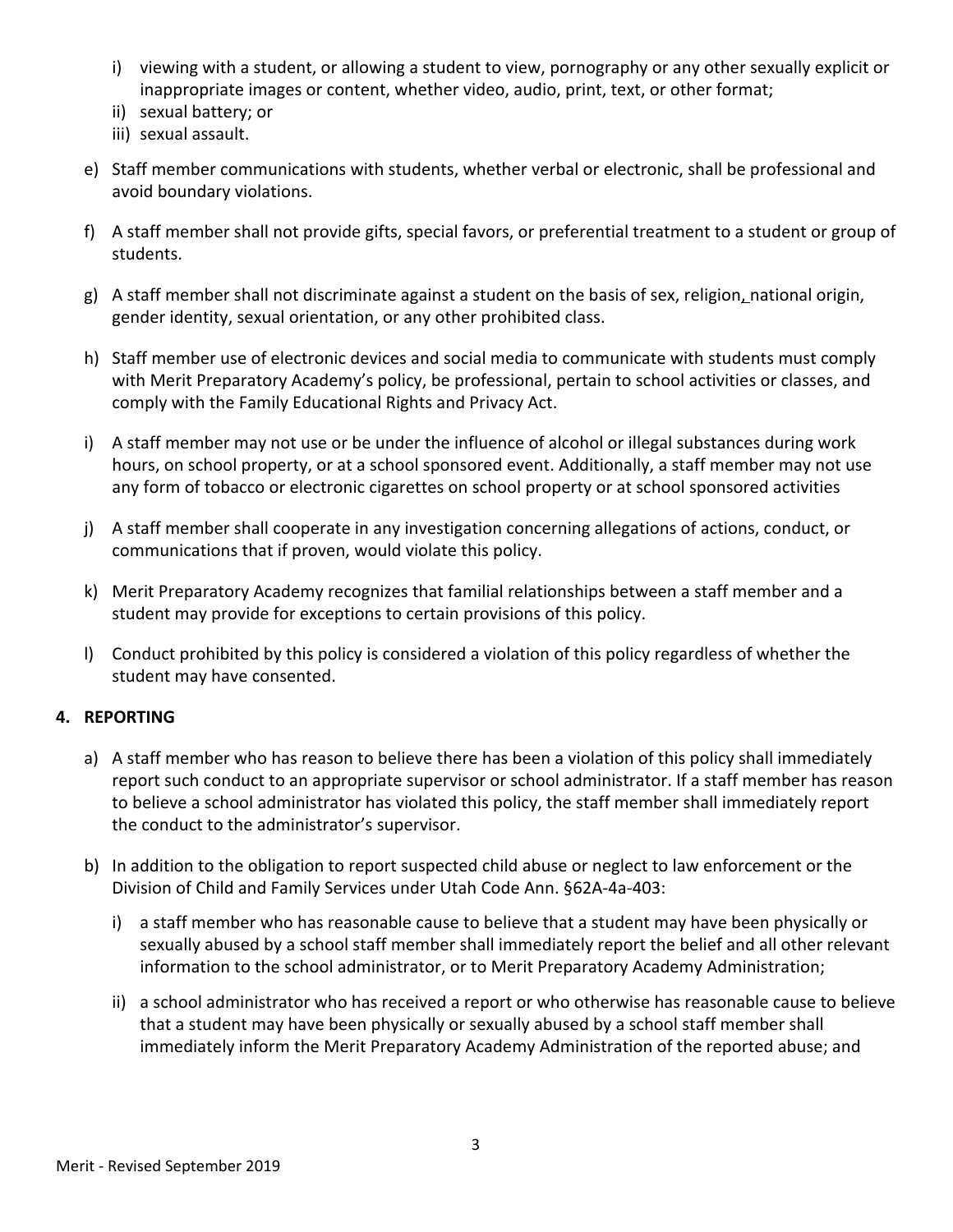- i) viewing with a student, or allowing a student to view, pornography or any other sexually explicit or inappropriate images or content, whether video, audio, print, text, or other format;
- ii) sexual battery; or
- iii) sexual assault.
- e) Staff member communications with students, whether verbal or electronic, shall be professional and avoid boundary violations.
- f) A staff member shall not provide gifts, special favors, or preferential treatment to a student or group of students.
- g) A staff member shall not discriminate against a student on the basis of sex, religion, national origin, gender identity, sexual orientation, or any other prohibited class.
- h) Staff member use of electronic devices and social media to communicate with students must comply with Merit Preparatory Academy's policy, be professional, pertain to school activities or classes, and comply with the Family Educational Rights and Privacy Act.
- i) A staff member may not use or be under the influence of alcohol or illegal substances during work hours, on school property, or at a school sponsored event. Additionally, a staff member may not use any form of tobacco or electronic cigarettes on school property or at school sponsored activities
- j) A staff member shall cooperate in any investigation concerning allegations of actions, conduct, or communications that if proven, would violate this policy.
- k) Merit Preparatory Academy recognizes that familial relationships between a staff member and a student may provide for exceptions to certain provisions of this policy.
- l) Conduct prohibited by this policy is considered a violation of this policy regardless of whether the student may have consented.

#### **4. REPORTING**

- a) A staff member who has reason to believe there has been a violation of this policy shall immediately report such conduct to an appropriate supervisor or school administrator. If a staff member has reason to believe a school administrator has violated this policy, the staff member shall immediately report the conduct to the administrator's supervisor.
- b) In addition to the obligation to report suspected child abuse or neglect to law enforcement or the Division of Child and Family Services under Utah Code Ann. §62A-4a-403:
	- i) a staff member who has reasonable cause to believe that a student may have been physically or sexually abused by a school staff member shall immediately report the belief and all other relevant information to the school administrator, or to Merit Preparatory Academy Administration;
	- ii) a school administrator who has received a report or who otherwise has reasonable cause to believe that a student may have been physically or sexually abused by a school staff member shall immediately inform the Merit Preparatory Academy Administration of the reported abuse; and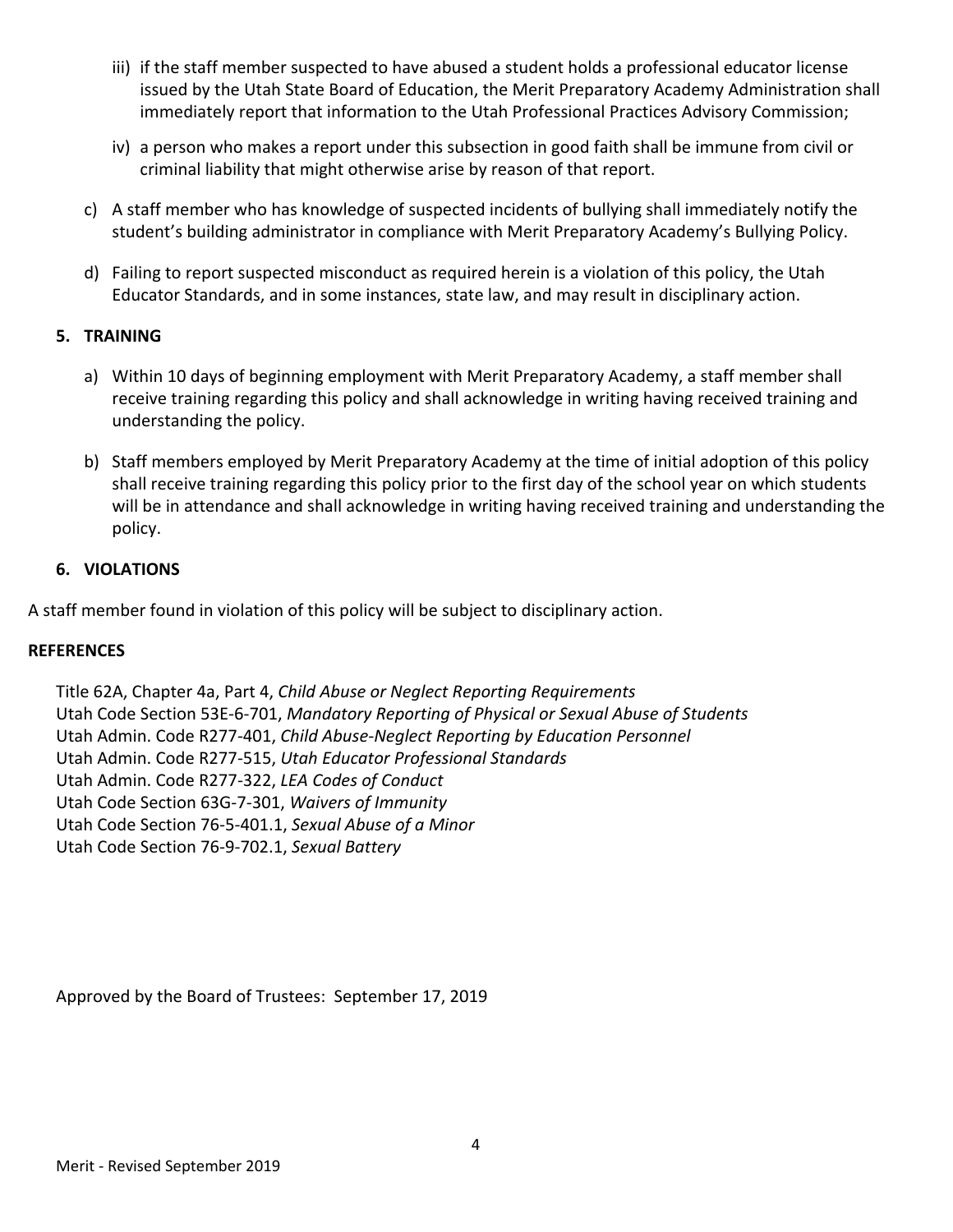- iii) if the staff member suspected to have abused a student holds a professional educator license issued by the Utah State Board of Education, the Merit Preparatory Academy Administration shall immediately report that information to the Utah Professional Practices Advisory Commission;
- iv) a person who makes a report under this subsection in good faith shall be immune from civil or criminal liability that might otherwise arise by reason of that report.
- c) A staff member who has knowledge of suspected incidents of bullying shall immediately notify the student's building administrator in compliance with Merit Preparatory Academy's Bullying Policy.
- d) Failing to report suspected misconduct as required herein is a violation of this policy, the Utah Educator Standards, and in some instances, state law, and may result in disciplinary action.

#### **5. TRAINING**

- a) Within 10 days of beginning employment with Merit Preparatory Academy, a staff member shall receive training regarding this policy and shall acknowledge in writing having received training and understanding the policy.
- b) Staff members employed by Merit Preparatory Academy at the time of initial adoption of this policy shall receive training regarding this policy prior to the first day of the school year on which students will be in attendance and shall acknowledge in writing having received training and understanding the policy.

#### **6. VIOLATIONS**

A staff member found in violation of this policy will be subject to disciplinary action.

#### **REFERENCES**

Title 62A, Chapter 4a, Part 4, *Child Abuse or Neglect Reporting Requirements* Utah Code Section 53E-6-701, *Mandatory Reporting of Physical or Sexual Abuse of Students* Utah Admin. Code R277-401, *Child Abuse-Neglect Reporting by Education Personnel* Utah Admin. Code R277-515, *Utah Educator Professional Standards* Utah Admin. Code R277-322, *LEA Codes of Conduct* Utah Code Section 63G-7-301, *Waivers of Immunity* Utah Code Section 76-5-401.1, *Sexual Abuse of a Minor* Utah Code Section 76-9-702.1, *Sexual Battery*

Approved by the Board of Trustees: September 17, 2019